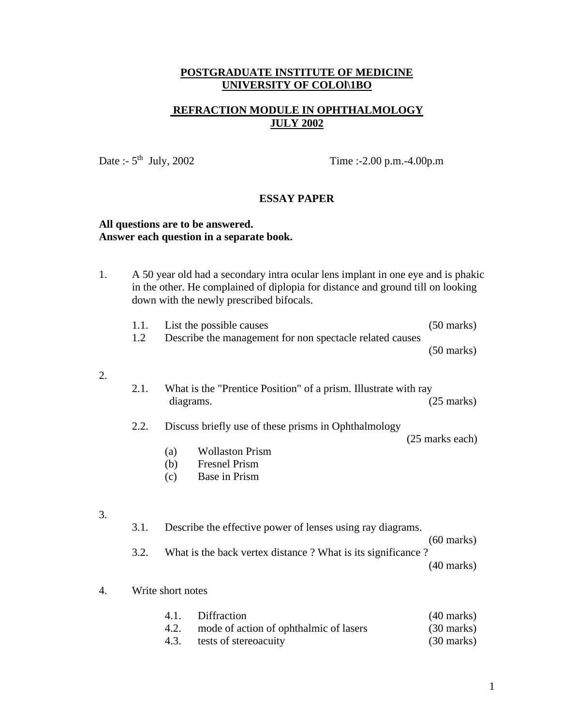## **POSTGRADUATE INSTITUTE OF MEDICINE UNIVERSITY OF COLOl\1BO**

# **REFRACTION MODULE IN OPHTHALMOLOGY JULY 2002**

Date :-  $5^{\text{th}}$ 

Time :-2.00 p.m.-4.00p.m

#### **ESSAY PAPER**

## **All questions are to be answered. Answer each question in a separate book.**

| 1. | A 50 year old had a secondary intra ocular lens implant in one eye and is phakic<br>in the other. He complained of diplopia for distance and ground till on looking<br>down with the newly prescribed bifocals. |                                                                                                                                                     |                                              |  |
|----|-----------------------------------------------------------------------------------------------------------------------------------------------------------------------------------------------------------------|-----------------------------------------------------------------------------------------------------------------------------------------------------|----------------------------------------------|--|
|    | 1.1.                                                                                                                                                                                                            | List the possible causes                                                                                                                            | $(50 \text{ marks})$                         |  |
|    | 1.2                                                                                                                                                                                                             | Describe the management for non spectacle related causes                                                                                            | $(50 \text{ marks})$                         |  |
| 2. | 2.1.                                                                                                                                                                                                            | What is the "Prentice Position" of a prism. Illustrate with ray<br>diagrams.<br>$(25 \text{ marks})$                                                |                                              |  |
|    | 2.2.                                                                                                                                                                                                            | Discuss briefly use of these prisms in Ophthalmology<br><b>Wollaston Prism</b><br>(a)<br><b>Fresnel Prism</b><br>(b)<br><b>Base in Prism</b><br>(c) | (25 marks each)                              |  |
| 3. | 3.1.<br>3.2.                                                                                                                                                                                                    | Describe the effective power of lenses using ray diagrams.<br>What is the back vertex distance? What is its significance?                           | $(60 \text{ marks})$<br>$(40 \text{ marks})$ |  |
| 4. | Write short notes                                                                                                                                                                                               |                                                                                                                                                     |                                              |  |
|    |                                                                                                                                                                                                                 | Diffraction<br>4.1.                                                                                                                                 | $(40 \text{ marks})$                         |  |

|      | T.I. DIIII avuul                       | $(70 \text{ min} \text{N})$ |
|------|----------------------------------------|-----------------------------|
| 4.2. | mode of action of ophthalmic of lasers | $(30 \text{ marks})$        |
| 4.3. | tests of stereoacuity                  | $(30 \text{ marks})$        |